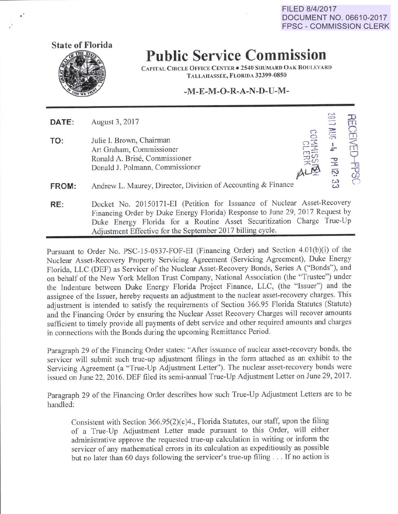FILED 8/4/2017 **DOCUMENT NO. 06610-2017 FPSC - COMMISSION CLERK** 

**State of Florida**  "OWNERS AND "The contract of the contract of the contract of the contract of the contract of the contract of the contract of the contract of the contract of the contract of the contract of the contract of the contract of t <sup>~</sup> ~ . ————————

~-~

# **Public Service Commission**

CAPITAL CIRCLE OFFICE CENTER . 2540 SHUMARD OAK BOULEVARD TALLAHASSEE, FLORIDA 32399-0850

### **-M-E-M-0-R-A-N-D-U-M-**

| DATE: | August 3, 2017                                                                                                                                                                                                                                                                                 | $\Xi$<br>$\equiv$   |                     |
|-------|------------------------------------------------------------------------------------------------------------------------------------------------------------------------------------------------------------------------------------------------------------------------------------------------|---------------------|---------------------|
| TO:   | 8<br>Julie I. Brown, Chairman<br>$\supseteq \overline{\supseteq}}$<br>Art Graham, Commissioner<br>Ronald A. Brisé, Commissioner<br>Donald J. Polmann, Commissioner                                                                                                                             | <b>SOP</b><br>PH12: | <b>CENE</b><br>OSda |
| FROM: | Andrew L. Maurey, Director, Division of Accounting & Finance                                                                                                                                                                                                                                   | င္မွာ               |                     |
| RE:   | Docket No. 20150171-EI (Petition for Issuance of Nuclear Asset-Recovery<br>Financing Order by Duke Energy Florida) Response to June 29, 2017 Request by<br>Duke Energy Florida for a Routine Asset Securitization Charge True-Up<br>Adjustment Effective for the September 2017 billing cycle. |                     |                     |

Pursuant to Order No. PSC-15-0537-FOF-EI (Financing Order) and Section 4.0l(b)(i) of the Nuclear Asset-Recovery Property Servicing Agreement (Servicing Agreement), Duke Energy Florida, LLC (DEF) as Servicer of the Nuclear Asset-Recovery Bonds, Series A ("Bonds"), and on behalf of the New York Mellon Trust Company, National Association (the "Trustee") under the Indenture between Duke Energy Florida Project Finance, LLC, (the "Issuer") and the assignee of the Issuer, hereby requests an adjustment to the nuclear asset-recovery charges. This adjustment is intended to satisfy the requirements of Section 366.95 Florida Statutes (Statute) and the Financing Order by ensuring the Nuclear Asset Recovery Charges will recover amounts sufficient to timely provide all payments of debt service and other required amounts and charges in connections with the Bonds during the upcoming Remittance Period.

Paragraph 29 of the Financing Order states: "After issuance of nuclear asset-recovery bonds, the servicer will submit such true-up adjustment filings in the form attached as an exhibit to the Servicing Agreement (a "True-Up Adjustment Letter"). The nuclear asset-recovery bonds were issued on June 22, 2016. DEF filed its semi-annual True-Up Adjustment Letter on June 29, 2017.

Paragraph 29 of the Financing Order describes how such True-Up Adjustment Letters are to be handled:

Consistent with Section 366.95(2)(c)4., Florida Statutes, our staff, upon the filing of a True-Up Adjustment Letter made pursuant to this Order, will either administrative approve the requested true-up calculation in writing or inform the servicer of any mathematical errors in its calculation as expeditiously as possible but no later than 60 days following the servicer's true-up filing ... If no action is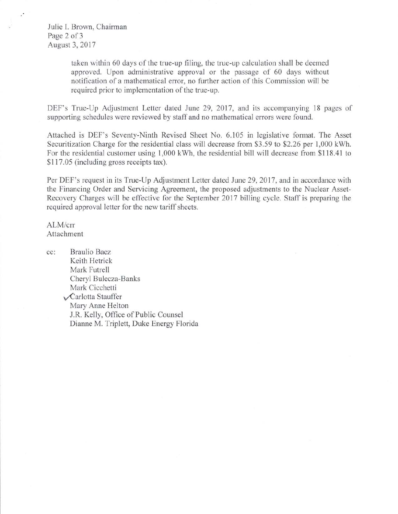Julie I. Brown, Chairman Page 2 of 3 August 3, 2017

> taken within 60 days of the true-up filing, the true-up calculation shall be deemed approved. Upon administrative approval or the passage of 60 days without notification of a mathematical error, no further action of this Commission will be required prior to implementation of the true-up.

DEF's True-Up Adjustment Letter dated June 29, 2017, and its accompanying 18 pages of supporting schedules were reviewed by staff and no mathematical errors were found.

Attached is DEF's Seventy-Ninth Revised Sheet No. 6.105 in legislative format. The Asset Securitization Charge for the residential class will decrease from \$3.59 to \$2.26 per 1,000 kWh. For the residential customer using 1,000 kWh, the residential bill will decrease from \$118.41 to \$117.05 (including gross receipts tax).

Per DEF's request in its True-Up Adjustment Letter dated June 29, 2017, and in accordance with the Financing Order and Servicing Agreement, the proposed adjustments to the Nuclear Asset-Recovery Charges will be effective for the September 2017 billing cycle. Staff is preparing the required approval letter for the new tariff sheets.

## ALM/crr

#### Attachment

cc: Braulio Baez Keith Hetrick Mark Futrell Cheryl Bulecza-Banks Mark Cicchetti  $\sqrt{\text{C}}$ arlotta Stauffer Mary Anne Helton J.R. Kelly, Office of Public Counsel Dianne M. Triplett, Duke Energy Florida